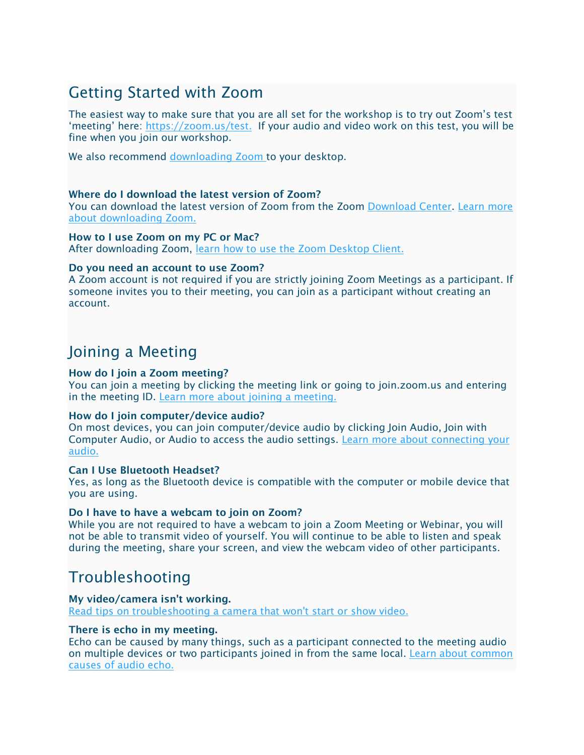# Getting Started with Zoom

The easiest way to make sure that you are all set for the workshop is to try out Zoom's test 'meeting' here: [https://zoom.us/test.](https://zoom.us/test) If your audio and video work on this test, you will be fine when you join our workshop.

We also recommend [downloading Zoom t](https://zoom.us/support/download)o your desktop.

## Where do I download the latest version of Zoom?

You can download the latest version of Zoom from the Zoom [Download Center.](https://support.zoom.us/hc/en-us/articles/zoom.us/download) [Learn more](https://support.zoom.us/hc/en-us/articles/201362233)  [about downloading Zoom.](https://support.zoom.us/hc/en-us/articles/201362233)

How to I use Zoom on my PC or Mac? After downloading Zoom, [learn how to use the Zoom Desktop Client.](https://support.zoom.us/hc/en-us/articles/201362033-Getting-Started-on-PC-and-Mac)

## Do you need an account to use Zoom?

A Zoom account is not required if you are strictly joining Zoom Meetings as a participant. If someone invites you to their meeting, you can join as a participant without creating an account.

## Joining a Meeting

## How do I join a Zoom meeting?

You can join a meeting by clicking the meeting link or going to join.zoom.us and entering in the meeting ID. [Learn more about joining a meeting.](https://support.zoom.us/hc/en-us/articles/201362193) 

## How do I join computer/device audio?

On most devices, you can join computer/device audio by clicking Join Audio, Join with Computer Audio, or Audio to access the audio settings. [Learn more about connecting your](https://support.zoom.us/hc/en-us/articles/201362283-How-Do-I-Join-or-Test-My-Computer-Audio-)  [audio.](https://support.zoom.us/hc/en-us/articles/201362283-How-Do-I-Join-or-Test-My-Computer-Audio-)

## Can I Use Bluetooth Headset?

Yes, as long as the Bluetooth device is compatible with the computer or mobile device that you are using.

#### Do I have to have a webcam to join on Zoom?

While you are not required to have a webcam to join a Zoom Meeting or Webinar, you will not be able to transmit video of yourself. You will continue to be able to listen and speak during the meeting, share your screen, and view the webcam video of other participants.

## Troubleshooting

## My video/camera isn't working.

[Read tips on troubleshooting a camera that won't start or show video.](https://support.zoom.us/hc/en-us/articles/202952568-My-Video-Camera-Isn-t-Working)

## There is echo in my meeting.

Echo can be caused by many things, such as a participant connected to the meeting audio on multiple devices or two participants joined in from the same local. [Learn about common](https://support.zoom.us/hc/en-us/articles/202050538-Audio-Echo-In-A-Meeting)  [causes of audio echo.](https://support.zoom.us/hc/en-us/articles/202050538-Audio-Echo-In-A-Meeting)